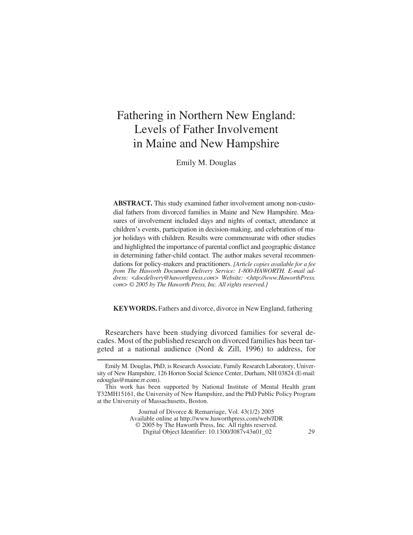# Fathering in Northern New England: Levels of Father Involvement in Maine and New Hampshire

Emily M. Douglas

**ABSTRACT.** This study examined father involvement among non-custodial fathers from divorced families in Maine and New Hampshire. Measures of involvement included days and nights of contact, attendance at children's events, participation in decision-making, and celebration of major holidays with children. Results were commensurate with other studies and highlighted the importance of parental conflict and geographic distance in determining father-child contact. The author makes several recommendations for policy-makers and practitioners. *[Article copies available for a fee from The Haworth Document Delivery Service: 1-800-HAWORTH. E-mail address: <docdelivery@haworthpress.com> Website: [<http://www.HaworthPress.](http://www.HaworthPress) com> © 2005 by The Haworth Press, Inc. All rights reserved.]*

**KEYWORDS.** Fathers and divorce, divorce in New England, fathering

Researchers have been studying divorced families for several decades. Most of the published research on divorced families has been targeted at a national audience (Nord & Zill, 1996) to address, for

Journal of Divorce & Remarriage, Vol. 43(1/2) 2005 Available online at <http://www.haworthpress.com/web/JDR> © 2005 by The Haworth Press, Inc. All rights reserved. Digital Object Identifier: 10.1300/J087v43n01\_02 *29*

Emily M. Douglas, PhD, is Research Associate, Family Research Laboratory, University of New Hampshire, 126 Horton Social Science Center, Durham, NH 03824 (E-mail: edouglas@maine.rr.com).

This work has been supported by National Institute of Mental Health grant T32MH15161, the University of New Hampshire, and the PhD Public Policy Program at the University of Massachusetts, Boston.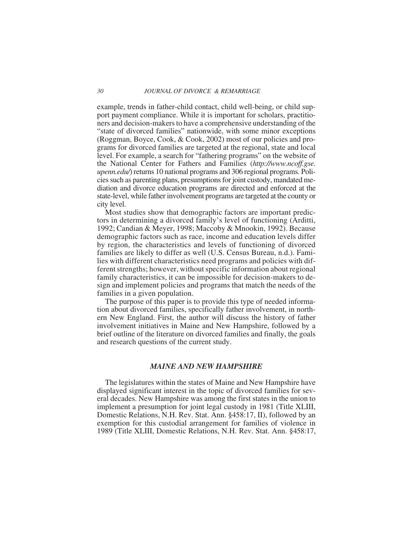example, trends in father-child contact, child well-being, or child support payment compliance. While it is important for scholars, practitioners and decision-makers to have a comprehensive understanding of the "state of divorced families" nationwide, with some minor exceptions (Roggman, Boyce, Cook, & Cook, 2002) most of our policies and programs for divorced families are targeted at the regional, state and local level. For example, a search for "fathering programs" on the website of the National Center for Fathers and Families (*[http://www.ncoff.gse.](http://www.ncoff.gse) upenn.edu/*) returns 10 national programs and 306 regional programs. Policies such as parenting plans, presumptions for joint custody, mandated mediation and divorce education programs are directed and enforced at the state-level, while father involvement programs are targeted at the county or city level.

Most studies show that demographic factors are important predictors in determining a divorced family's level of functioning (Arditti, 1992; Candian & Meyer, 1998; Maccoby & Mnookin, 1992). Because demographic factors such as race, income and education levels differ by region, the characteristics and levels of functioning of divorced families are likely to differ as well (U.S. Census Bureau, n.d.). Families with different characteristics need programs and policies with different strengths; however, without specific information about regional family characteristics, it can be impossible for decision-makers to design and implement policies and programs that match the needs of the families in a given population.

The purpose of this paper is to provide this type of needed information about divorced families, specifically father involvement, in northern New England. First, the author will discuss the history of father involvement initiatives in Maine and New Hampshire, followed by a brief outline of the literature on divorced families and finally, the goals and research questions of the current study.

## *MAINE AND NEW HAMPSHIRE*

The legislatures within the states of Maine and New Hampshire have displayed significant interest in the topic of divorced families for several decades. New Hampshire was among the first states in the union to implement a presumption for joint legal custody in 1981 (Title XLIII, Domestic Relations, N.H. Rev. Stat. Ann. §458:17, II), followed by an exemption for this custodial arrangement for families of violence in 1989 (Title XLIII, Domestic Relations, N.H. Rev. Stat. Ann. §458:17,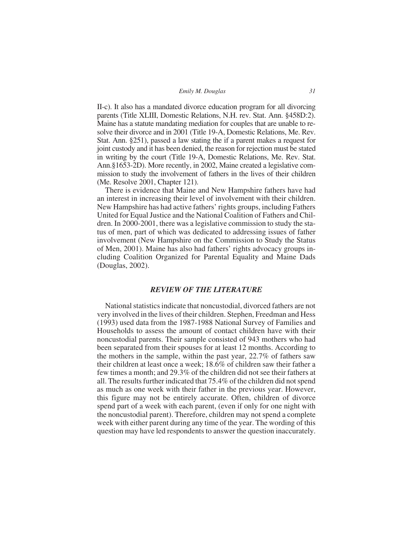*Emily M. Douglas 31*

II-c). It also has a mandated divorce education program for all divorcing parents (Title XLIII, Domestic Relations, N.H. rev. Stat. Ann. §458D:2). Maine has a statute mandating mediation for couples that are unable to resolve their divorce and in 2001 (Title 19-A, Domestic Relations, Me. Rev. Stat. Ann. §251), passed a law stating the if a parent makes a request for joint custody and it has been denied, the reason for rejection must be stated in writing by the court (Title 19-A, Domestic Relations, Me. Rev. Stat. Ann.§1653-2D). More recently, in 2002, Maine created a legislative commission to study the involvement of fathers in the lives of their children (Me. Resolve 2001, Chapter 121).

There is evidence that Maine and New Hampshire fathers have had an interest in increasing their level of involvement with their children. New Hampshire has had active fathers' rights groups, including Fathers United for Equal Justice and the National Coalition of Fathers and Children. In 2000-2001, there was a legislative commission to study the status of men, part of which was dedicated to addressing issues of father involvement (New Hampshire on the Commission to Study the Status of Men, 2001). Maine has also had fathers' rights advocacy groups including Coalition Organized for Parental Equality and Maine Dads (Douglas, 2002).

# *REVIEW OF THE LITERATURE*

National statistics indicate that noncustodial, divorced fathers are not very involved in the lives of their children. Stephen, Freedman and Hess (1993) used data from the 1987-1988 National Survey of Families and Households to assess the amount of contact children have with their noncustodial parents. Their sample consisted of 943 mothers who had been separated from their spouses for at least 12 months. According to the mothers in the sample, within the past year, 22.7% of fathers saw their children at least once a week; 18.6% of children saw their father a few times a month; and 29.3% of the children did not see their fathers at all. The results further indicated that 75.4% of the children did not spend as much as one week with their father in the previous year. However, this figure may not be entirely accurate. Often, children of divorce spend part of a week with each parent, (even if only for one night with the noncustodial parent). Therefore, children may not spend a complete week with either parent during any time of the year. The wording of this question may have led respondents to answer the question inaccurately.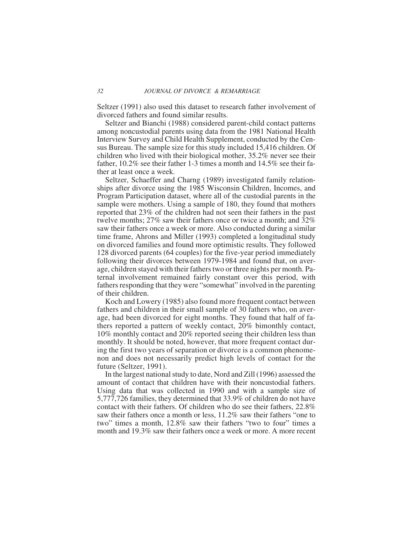Seltzer (1991) also used this dataset to research father involvement of divorced fathers and found similar results.

Seltzer and Bianchi (1988) considered parent-child contact patterns among noncustodial parents using data from the 1981 National Health Interview Survey and Child Health Supplement, conducted by the Census Bureau. The sample size for this study included 15,416 children. Of children who lived with their biological mother, 35.2% never see their father, 10.2% see their father 1-3 times a month and 14.5% see their father at least once a week.

Seltzer, Schaeffer and Charng (1989) investigated family relationships after divorce using the 1985 Wisconsin Children, Incomes, and Program Participation dataset, where all of the custodial parents in the sample were mothers. Using a sample of 180, they found that mothers reported that 23% of the children had not seen their fathers in the past twelve months; 27% saw their fathers once or twice a month; and 32% saw their fathers once a week or more. Also conducted during a similar time frame, Ahrons and Miller (1993) completed a longitudinal study on divorced families and found more optimistic results. They followed 128 divorced parents (64 couples) for the five-year period immediately following their divorces between 1979-1984 and found that, on average, children stayed with their fathers two or three nights per month. Paternal involvement remained fairly constant over this period, with fathers responding that they were "somewhat" involved in the parenting of their children.

Koch and Lowery (1985) also found more frequent contact between fathers and children in their small sample of 30 fathers who, on average, had been divorced for eight months. They found that half of fathers reported a pattern of weekly contact, 20% bimonthly contact, 10% monthly contact and 20% reported seeing their children less than monthly. It should be noted, however, that more frequent contact during the first two years of separation or divorce is a common phenomenon and does not necessarily predict high levels of contact for the future (Seltzer, 1991).

In the largest national study to date, Nord and Zill (1996) assessed the amount of contact that children have with their noncustodial fathers. Using data that was collected in 1990 and with a sample size of 5,777,726 families, they determined that 33.9% of children do not have contact with their fathers. Of children who do see their fathers, 22.8% saw their fathers once a month or less, 11.2% saw their fathers "one to two" times a month, 12.8% saw their fathers "two to four" times a month and 19.3% saw their fathers once a week or more. A more recent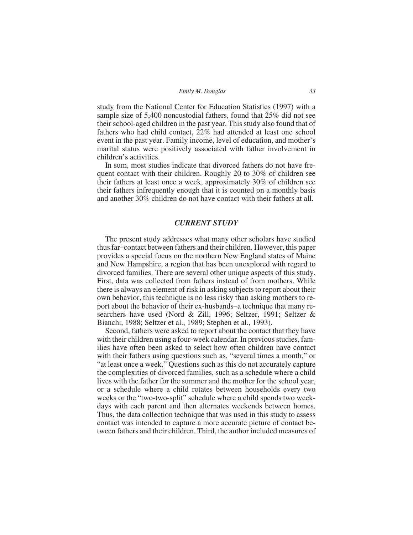| Emily M. Douglas | 33 |  |
|------------------|----|--|
|                  |    |  |

study from the National Center for Education Statistics (1997) with a sample size of 5,400 noncustodial fathers, found that 25% did not see their school-aged children in the past year. This study also found that of fathers who had child contact, 22% had attended at least one school event in the past year. Family income, level of education, and mother's marital status were positively associated with father involvement in children's activities.

In sum, most studies indicate that divorced fathers do not have frequent contact with their children. Roughly 20 to 30% of children see their fathers at least once a week, approximately 30% of children see their fathers infrequently enough that it is counted on a monthly basis and another 30% children do not have contact with their fathers at all.

### *CURRENT STUDY*

The present study addresses what many other scholars have studied thus far–contact between fathers and their children. However, this paper provides a special focus on the northern New England states of Maine and New Hampshire, a region that has been unexplored with regard to divorced families. There are several other unique aspects of this study. First, data was collected from fathers instead of from mothers. While there is always an element of risk in asking subjects to report about their own behavior, this technique is no less risky than asking mothers to report about the behavior of their ex-husbands–a technique that many researchers have used (Nord & Zill, 1996; Seltzer, 1991; Seltzer & Bianchi, 1988; Seltzer et al., 1989; Stephen et al., 1993).

Second, fathers were asked to report about the contact that they have with their children using a four-week calendar. In previous studies, families have often been asked to select how often children have contact with their fathers using questions such as, "several times a month," or "at least once a week." Questions such as this do not accurately capture the complexities of divorced families, such as a schedule where a child lives with the father for the summer and the mother for the school year, or a schedule where a child rotates between households every two weeks or the "two-two-split" schedule where a child spends two weekdays with each parent and then alternates weekends between homes. Thus, the data collection technique that was used in this study to assess contact was intended to capture a more accurate picture of contact between fathers and their children. Third, the author included measures of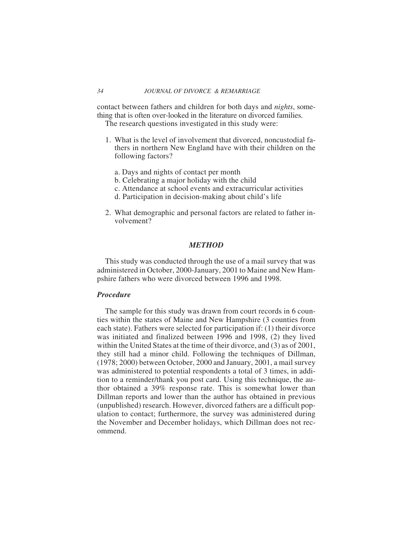contact between fathers and children for both days and *nights*, something that is often over-looked in the literature on divorced families.

The research questions investigated in this study were:

- 1. What is the level of involvement that divorced, noncustodial fathers in northern New England have with their children on the following factors?
	- a. Days and nights of contact per month
	- b. Celebrating a major holiday with the child
	- c. Attendance at school events and extracurricular activities
	- d. Participation in decision-making about child's life
- 2. What demographic and personal factors are related to father involvement?

# *METHOD*

This study was conducted through the use of a mail survey that was administered in October, 2000-January, 2001 to Maine and New Hampshire fathers who were divorced between 1996 and 1998.

### *Procedure*

The sample for this study was drawn from court records in 6 counties within the states of Maine and New Hampshire (3 counties from each state). Fathers were selected for participation if: (1) their divorce was initiated and finalized between 1996 and 1998, (2) they lived within the United States at the time of their divorce, and (3) as of 2001, they still had a minor child. Following the techniques of Dillman, (1978; 2000) between October, 2000 and January, 2001, a mail survey was administered to potential respondents a total of 3 times, in addition to a reminder/thank you post card. Using this technique, the author obtained a 39% response rate. This is somewhat lower than Dillman reports and lower than the author has obtained in previous (unpublished) research. However, divorced fathers are a difficult population to contact; furthermore, the survey was administered during the November and December holidays, which Dillman does not recommend.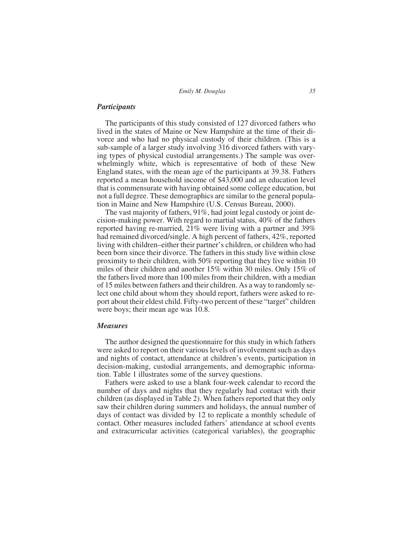*Emily M. Douglas 35*

## *Participants*

The participants of this study consisted of 127 divorced fathers who lived in the states of Maine or New Hampshire at the time of their divorce and who had no physical custody of their children. (This is a sub-sample of a larger study involving 316 divorced fathers with varying types of physical custodial arrangements.) The sample was overwhelmingly white, which is representative of both of these New England states, with the mean age of the participants at 39.38. Fathers reported a mean household income of \$43,000 and an education level that is commensurate with having obtained some college education, but not a full degree. These demographics are similar to the general population in Maine and New Hampshire (U.S. Census Bureau, 2000).

The vast majority of fathers, 91%, had joint legal custody or joint decision-making power. With regard to martial status, 40% of the fathers reported having re-married, 21% were living with a partner and 39% had remained divorced/single. A high percent of fathers, 42%, reported living with children–either their partner's children, or children who had been born since their divorce. The fathers in this study live within close proximity to their children, with 50% reporting that they live within 10 miles of their children and another 15% within 30 miles. Only 15% of the fathers lived more than 100 miles from their children, with a median of 15 miles between fathers and their children. As a way to randomly select one child about whom they should report, fathers were asked to report about their eldest child. Fifty-two percent of these "target" children were boys; their mean age was 10.8.

### *Measures*

The author designed the questionnaire for this study in which fathers were asked to report on their various levels of involvement such as days and nights of contact, attendance at children's events, participation in decision-making, custodial arrangements, and demographic information. Table 1 illustrates some of the survey questions.

Fathers were asked to use a blank four-week calendar to record the number of days and nights that they regularly had contact with their children (as displayed in Table 2). When fathers reported that they only saw their children during summers and holidays, the annual number of days of contact was divided by 12 to replicate a monthly schedule of contact. Other measures included fathers' attendance at school events and extracurricular activities (categorical variables), the geographic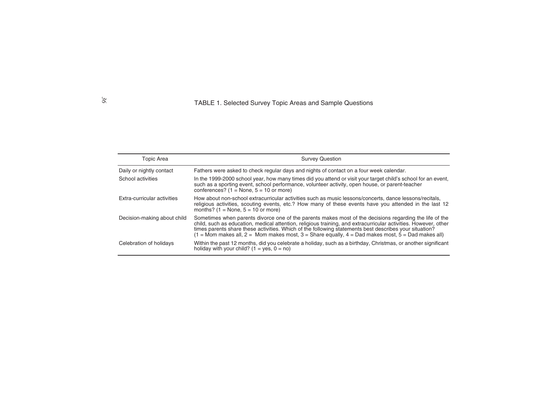# TABLE 1. Selected Survey Topic Areas and Sample Questions

| Topic Area                  | <b>Survey Question</b>                                                                                                                                                                                                                                                                                                                                                                                                                       |
|-----------------------------|----------------------------------------------------------------------------------------------------------------------------------------------------------------------------------------------------------------------------------------------------------------------------------------------------------------------------------------------------------------------------------------------------------------------------------------------|
| Daily or nightly contact    | Fathers were asked to check regular days and nights of contact on a four week calendar.                                                                                                                                                                                                                                                                                                                                                      |
| School activities           | In the 1999-2000 school year, how many times did you attend or visit your target child's school for an event,<br>such as a sporting event, school performance, volunteer activity, open house, or parent-teacher<br>conferences? $(1 = \text{None}, 5 = 10 \text{ or more})$                                                                                                                                                                 |
| Extra-curricular activities | How about non-school extracurricular activities such as music lessons/concerts, dance lessons/recitals,<br>religious activities, scouting events, etc.? How many of these events have you attended in the last 12<br>months? $(1 = \text{None}, 5 = 10 \text{ or more})$                                                                                                                                                                     |
| Decision-making about child | Sometimes when parents divorce one of the parents makes most of the decisions regarding the life of the<br>child, such as education, medical attention, religious training, and extracurricular activities. However, other<br>times parents share these activities. Which of the following statements best describes your situation?<br>$(1)$ = Mom makes all, 2 = Mom makes most, 3 = Share equally, 4 = Dad makes most, 5 = Dad makes all) |
| Celebration of holidays     | Within the past 12 months, did you celebrate a holiday, such as a birthday, Christmas, or another significant<br>holiday with your child? $(1 = yes, 0 = no)$                                                                                                                                                                                                                                                                                |

# *36*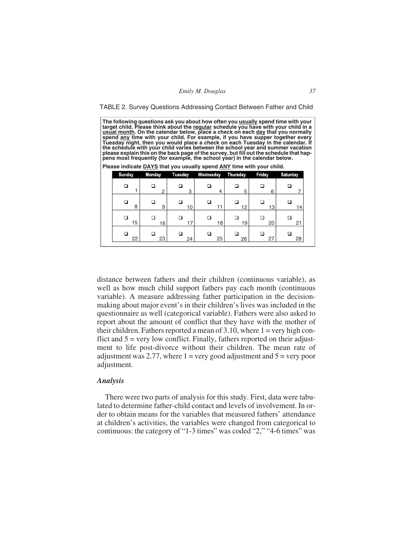TABLE 2. Survey Questions Addressing Contact Between Father and Child

**The following questions ask you about how often you usually spend time with your target child. Please think about the regular schedule you have with your child in a** <u>usŭal month</u>. On the calendar below, place a check on each <u>day</u> that you normally<br>spend <u>any</u> time with your child. For example, if you have supper together every<br>Tuesday night, then you would place a check on each Tuesd **the schedule with your child varies between the school year and summer vacation** pens most frequently (for example, the school year) in the calendar below.

|  |  |  |  |  |  |  |  | Please indicate <b>DAYS</b> that you usually spend ANY time with your child. |  |  |
|--|--|--|--|--|--|--|--|------------------------------------------------------------------------------|--|--|
|--|--|--|--|--|--|--|--|------------------------------------------------------------------------------|--|--|

| <b>Sunday</b> |    | <b>Monday</b> | Tuesday         | Wednesday | <b>Thursday</b> | Friday | <b>Saturday</b> |
|---------------|----|---------------|-----------------|-----------|-----------------|--------|-----------------|
| □             |    | 2             | 3               | П<br>4    | 5               | 6      |                 |
|               | 8  | 9             | 10 <sup>1</sup> | 11        | 12              | 13     | 14              |
|               | 15 | 16            | 17              | 18        | 19              | 20     | 21              |
|               | 22 | 23            | 24              | 25        | 26              | 27     | 28              |

distance between fathers and their children (continuous variable), as well as how much child support fathers pay each month (continuous variable). A measure addressing father participation in the decisionmaking about major event's in their children's lives was included in the questionnaire as well (categorical variable). Fathers were also asked to report about the amount of conflict that they have with the mother of their children. Fathers reported a mean of  $3.10$ , where  $1 = \text{very high con-}$ flict and  $5 = \text{very low conflict}$ . Finally, fathers reported on their adjustment to life post-divorce without their children. The mean rate of adjustment was 2.77, where  $1 = \text{very good adjustment}$  and  $5 = \text{very poor}$ adjustment.

#### *Analysis*

There were two parts of analysis for this study. First, data were tabulated to determine father-child contact and levels of involvement. In order to obtain means for the variables that measured fathers' attendance at children's activities, the variables were changed from categorical to continuous: the category of "1-3 times" was coded "2," "4-6 times" was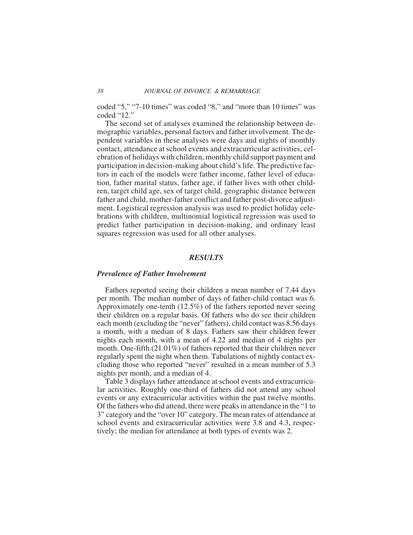coded "5," "7-10 times" was coded "8," and "more than 10 times" was coded "12."

The second set of analyses examined the relationship between demographic variables, personal factors and father involvement. The dependent variables in these analyses were days and nights of monthly contact, attendance at school events and extracurricular activities, celebration of holidays with children, monthly child support payment and participation in decision-making about child's life. The predictive factors in each of the models were father income, father level of education, father marital status, father age, if father lives with other children, target child age, sex of target child, geographic distance between father and child, mother-father conflict and father post-divorce adjustment. Logistical regression analysis was used to predict holiday celebrations with children, multinomial logistical regression was used to predict father participation in decision-making, and ordinary least squares regression was used for all other analyses.

# *RESULTS*

### *Prevalence of Father Involvement*

Fathers reported seeing their children a mean number of 7.44 days per month. The median number of days of father-child contact was 6. Approximately one-tenth (12.5%) of the fathers reported never seeing their children on a regular basis. Of fathers who do see their children each month (excluding the "never" fathers), child contact was 8.56 days a month, with a median of 8 days. Fathers saw their children fewer nights each month, with a mean of 4.22 and median of 4 nights per month. One-fifth (21.01%) of fathers reported that their children never regularly spent the night when them. Tabulations of nightly contact excluding those who reported "never" resulted in a mean number of 5.3 nights per month, and a median of 4.

Table 3 displays father attendance at school events and extracurricular activities. Roughly one-third of fathers did not attend any school events or any extracurricular activities within the past twelve months. Of the fathers who did attend, there were peaks in attendance in the "1 to 3" category and the "over 10" category. The mean rates of attendance at school events and extracurricular activities were 3.8 and 4.3, respectively; the median for attendance at both types of events was 2.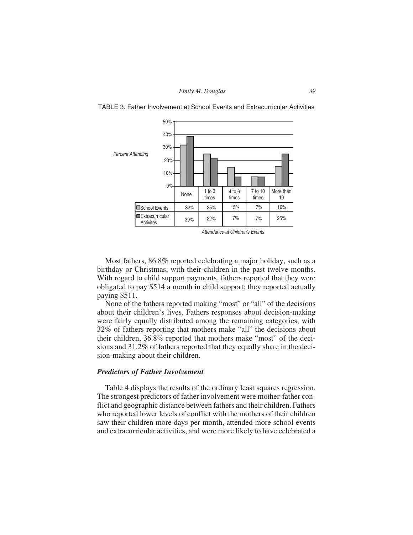

TABLE 3. Father Involvement at School Events and Extracurricular Activities

Attendance at Children's Events

Most fathers, 86.8% reported celebrating a major holiday, such as a birthday or Christmas, with their children in the past twelve months. With regard to child support payments, fathers reported that they were obligated to pay \$514 a month in child support; they reported actually paying \$511.

None of the fathers reported making "most" or "all" of the decisions about their children's lives. Fathers responses about decision-making were fairly equally distributed among the remaining categories, with 32% of fathers reporting that mothers make "all" the decisions about their children, 36.8% reported that mothers make "most" of the decisions and 31.2% of fathers reported that they equally share in the decision-making about their children.

### *Predictors of Father Involvement*

Table 4 displays the results of the ordinary least squares regression. The strongest predictors of father involvement were mother-father conflict and geographic distance between fathers and their children. Fathers who reported lower levels of conflict with the mothers of their children saw their children more days per month, attended more school events and extracurricular activities, and were more likely to have celebrated a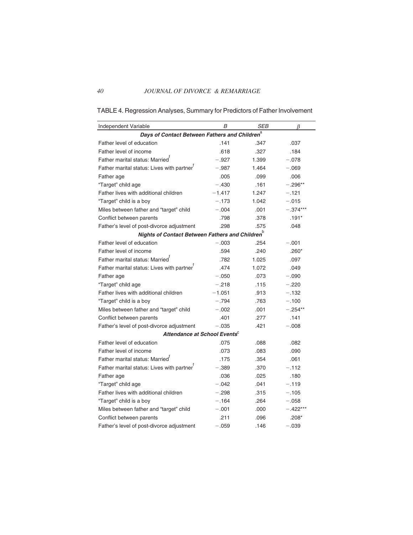TABLE 4. Regression Analyses, Summary for Predictors of Father Involvement

| Independent Variable                                        | B        | <b>SEB</b> | β          |
|-------------------------------------------------------------|----------|------------|------------|
| Days of Contact Between Fathers and Children <sup>a</sup>   |          |            |            |
| Father level of education                                   | .141     | .347       | .037       |
| Father level of income                                      | .618     | .327       | .184       |
| Father marital status: Married <sup>t</sup>                 | $-.927$  | 1.399      | $-.078$    |
| Father marital status: Lives with partner <sup>T</sup>      | $-.987$  | 1.464      | $-.069$    |
| Father age                                                  | .005     | .099       | .006       |
| "Target" child age                                          | $-.430$  | .161       | $-.296**$  |
| Father lives with additional children                       | $-1.417$ | 1.247      | $-.121$    |
| "Target" child is a boy                                     | $-.173$  | 1.042      | $-.015$    |
| Miles between father and "target" child                     | $-.004$  | .001       | $-.374***$ |
| Conflict between parents                                    | .798     | .378       | $.191*$    |
| Father's level of post-divorce adjustment                   | .298     | .575       | .048       |
| Nights of Contact Between Fathers and Children <sup>b</sup> |          |            |            |
| Father level of education                                   | $-.003$  | .254       | $-.001$    |
| Father level of income                                      | .594     | .240       | $.260*$    |
| Father marital status: Married <sup>t</sup>                 | .782     | 1.025      | .097       |
| Father marital status: Lives with partner                   | .474     | 1.072      | .049       |
| Father age                                                  | $-.050$  | .073       | $-.090$    |
| "Target" child age                                          | $-.218$  | .115       | $-.220$    |
| Father lives with additional children                       | $-1.051$ | .913       | $-.132$    |
| "Target" child is a boy                                     | $-.794$  | .763       | $-.100$    |
| Miles between father and "target" child                     | $-.002$  | .001       | $-.254**$  |
| Conflict between parents                                    | .401     | .277       | .141       |
| Father's level of post-divorce adjustment                   | $-.035$  | .421       | $-.008$    |
| Attendance at School Events <sup>c</sup>                    |          |            |            |
| Father level of education                                   | .075     | .088       | .082       |
| Father level of income                                      | .073     | .083       | .090       |
| Father marital status: Married <sup>t</sup>                 | .175     | .354       | .061       |
| Father marital status: Lives with partner                   | $-.389$  | .370       | $-.112$    |
| Father age                                                  | .036     | .025       | .180       |
| "Target" child age                                          | $-.042$  | .041       | $-.119$    |
| Father lives with additional children                       | $-.298$  | .315       | $-.105$    |
| "Target" child is a boy                                     | $-.164$  | .264       | $-.058$    |
| Miles between father and "target" child                     | $-.001$  | .000       | $-.422***$ |
| Conflict between parents                                    | .211     | .096       | $.208*$    |
| Father's level of post-divorce adjustment                   | $-.059$  | .146       | $-.039$    |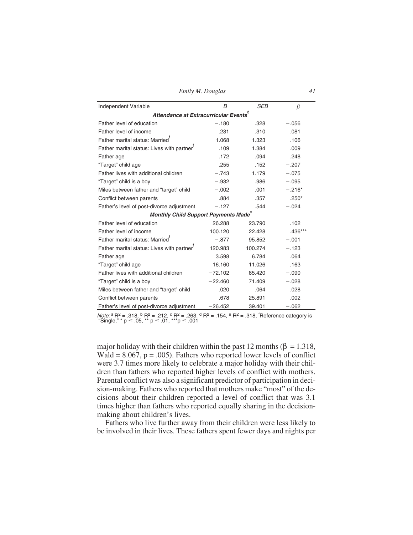*Emily M. Douglas 41*

| Independent Variable                                   | B         | <b>SEB</b> | ß         |  |  |  |  |
|--------------------------------------------------------|-----------|------------|-----------|--|--|--|--|
| $\overline{d}$<br>Attendance at Extracurricular Events |           |            |           |  |  |  |  |
| Father level of education                              | $-.180$   | .328       | $-.056$   |  |  |  |  |
| Father level of income                                 | .231      | .310       | .081      |  |  |  |  |
| Father marital status: Married <sup>T</sup>            | 1.068     | 1.323      | .106      |  |  |  |  |
| Father marital status: Lives with partner              | .109      | 1.384      | .009      |  |  |  |  |
| Father age                                             | .172      | .094       | .248      |  |  |  |  |
| "Target" child age                                     | .255      | .152       | $-.207$   |  |  |  |  |
| Father lives with additional children                  | $-.743$   | 1.179      | $-.075$   |  |  |  |  |
| "Target" child is a boy                                | $-.932$   | .986       | $-.095$   |  |  |  |  |
| Miles between father and "target" child                | $-.002$   | .001       | $-.216*$  |  |  |  |  |
| Conflict between parents                               | .884      | .357       | $.250*$   |  |  |  |  |
| Father's level of post-divorce adjustment              | $-.127$   | .544       | $-.024$   |  |  |  |  |
| Monthly Child Support Payments Made                    |           | е          |           |  |  |  |  |
| Father level of education                              | 26.288    | 23.790     | .102      |  |  |  |  |
| Father level of income                                 | 100.120   | 22.428     | $.436***$ |  |  |  |  |
| Father marital status: Married                         | $-.877$   | 95.852     | $-.001$   |  |  |  |  |
| Father marital status: Lives with partner <sup>T</sup> | 120.983   | 100.274    | $-.123$   |  |  |  |  |
| Father age                                             | 3.598     | 6.784      | .064      |  |  |  |  |
| "Target" child age                                     | 16.160    | 11.026     | .163      |  |  |  |  |
| Father lives with additional children                  | $-72.102$ | 85.420     | $-.090$   |  |  |  |  |
| "Target" child is a boy                                | $-22.460$ | 71.409     | $-.028$   |  |  |  |  |
| Miles between father and "target" child                | .020      | .064       | .028      |  |  |  |  |
| Conflict between parents                               | .678      | 25.891     | .002      |  |  |  |  |
| Father's level of post-divorce adjustment              | $-26.452$ | 39.401     | $-.062$   |  |  |  |  |

*Note:*  ${}^{a}R^{2} = .318, {}^{b}R^{2} = .212, {}^{c}R^{2} = .263. {}^{d}R^{2} = .154, {}^{e}R^{2} = .318, {}^{f}Reference category is "Single," * p ≤ .05, ** p ≤ .01, ***p ≤ .001$ 

major holiday with their children within the past 12 months ( $\beta = 1.318$ , Wald =  $8.067$ ,  $p = .005$ ). Fathers who reported lower levels of conflict were 3.7 times more likely to celebrate a major holiday with their children than fathers who reported higher levels of conflict with mothers. Parental conflict was also a significant predictor of participation in decision-making. Fathers who reported that mothers make "most" of the decisions about their children reported a level of conflict that was 3.1 times higher than fathers who reported equally sharing in the decisionmaking about children's lives.

Fathers who live further away from their children were less likely to be involved in their lives. These fathers spent fewer days and nights per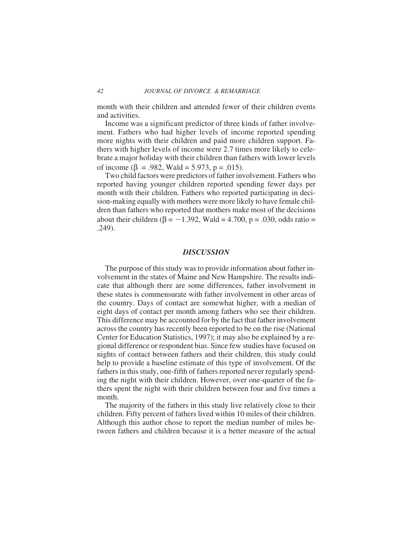month with their children and attended fewer of their children events and activities.

Income was a significant predictor of three kinds of father involvement. Fathers who had higher levels of income reported spending more nights with their children and paid more children support. Fathers with higher levels of income were 2.7 times more likely to celebrate a major holiday with their children than fathers with lower levels of income ( $\beta$  = .982, Wald = 5.973, p = .015).

Two child factors were predictors of father involvement. Fathers who reported having younger children reported spending fewer days per month with their children. Fathers who reported participating in decision-making equally with mothers were more likely to have female children than fathers who reported that mothers make most of the decisions about their children ( $\beta$  = -1.392, Wald = 4.700, p = .030, odds ratio = .249).

# *DISCUSSION*

The purpose of this study was to provide information about father involvement in the states of Maine and New Hampshire. The results indicate that although there are some differences, father involvement in these states is commensurate with father involvement in other areas of the country. Days of contact are somewhat higher, with a median of eight days of contact per month among fathers who see their children. This difference may be accounted for by the fact that father involvement across the country has recently been reported to be on the rise (National Center for Education Statistics, 1997); it may also be explained by a regional difference or respondent bias. Since few studies have focused on nights of contact between fathers and their children, this study could help to provide a baseline estimate of this type of involvement. Of the fathers in this study, one-fifth of fathers reported never regularly spending the night with their children. However, over one-quarter of the fathers spent the night with their children between four and five times a month.

The majority of the fathers in this study live relatively close to their children. Fifty percent of fathers lived within 10 miles of their children. Although this author chose to report the median number of miles between fathers and children because it is a better measure of the actual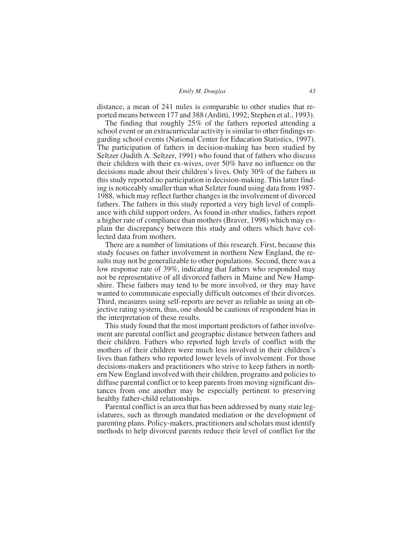*Emily M. Douglas 43*

distance, a mean of 241 miles is comparable to other studies that reported means between 177 and 388 (Arditti, 1992; Stephen et al., 1993).

The finding that roughly 25% of the fathers reported attending a school event or an extracurricular activity is similar to other findings regarding school events (National Center for Education Statistics, 1997). The participation of fathers in decision-making has been studied by Seltzer (Judith A. Seltzer, 1991) who found that of fathers who discuss their children with their ex-wives, over 50% have no influence on the decisions made about their children's lives. Only 30% of the fathers in this study reported no participation in decision-making. This latter finding is noticeably smaller than what Selzter found using data from 1987- 1988, which may reflect further changes in the involvement of divorced fathers. The fathers in this study reported a very high level of compliance with child support orders. As found in other studies, fathers report a higher rate of compliance than mothers (Braver, 1998) which may explain the discrepancy between this study and others which have collected data from mothers.

There are a number of limitations of this research. First, because this study focuses on father involvement in northern New England, the results may not be generalizable to other populations. Second, there was a low response rate of 39%, indicating that fathers who responded may not be representative of all divorced fathers in Maine and New Hampshire. These fathers may tend to be more involved, or they may have wanted to communicate especially difficult outcomes of their divorces. Third, measures using self-reports are never as reliable as using an objective rating system, thus, one should be cautious of respondent bias in the interpretation of these results.

This study found that the most important predictors of father involvement are parental conflict and geographic distance between fathers and their children. Fathers who reported high levels of conflict with the mothers of their children were much less involved in their children's lives than fathers who reported lower levels of involvement. For those decisions-makers and practitioners who strive to keep fathers in northern New England involved with their children, programs and policies to diffuse parental conflict or to keep parents from moving significant distances from one another may be especially pertinent to preserving healthy father-child relationships.

Parental conflict is an area that has been addressed by many state legislatures, such as through mandated mediation or the development of parenting plans. Policy-makers, practitioners and scholars must identify methods to help divorced parents reduce their level of conflict for the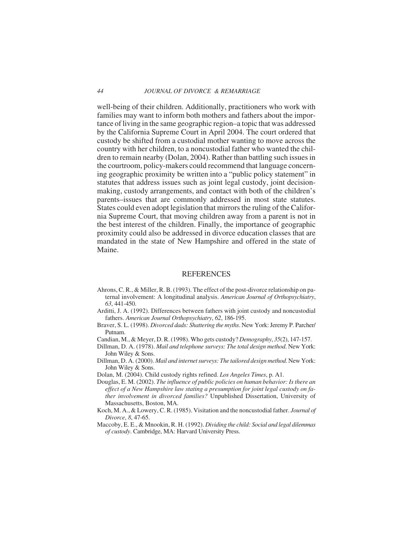well-being of their children. Additionally, practitioners who work with families may want to inform both mothers and fathers about the importance of living in the same geographic region–a topic that was addressed by the California Supreme Court in April 2004. The court ordered that custody be shifted from a custodial mother wanting to move across the country with her children, to a noncustodial father who wanted the children to remain nearby (Dolan, 2004). Rather than battling such issues in the courtroom, policy-makers could recommend that language concerning geographic proximity be written into a "public policy statement" in statutes that address issues such as joint legal custody, joint decisionmaking, custody arrangements, and contact with both of the children's parents–issues that are commonly addressed in most state statutes. States could even adopt legislation that mirrors the ruling of the California Supreme Court, that moving children away from a parent is not in the best interest of the children. Finally, the importance of geographic proximity could also be addressed in divorce education classes that are mandated in the state of New Hampshire and offered in the state of Maine.

#### REFERENCES

- Ahrons, C. R., & Miller, R. B. (1993). The effect of the post-divorce relationship on paternal involvement: A longitudinal analysis. *American Journal of Orthopsychiatry*, *63*, 441-450.
- Arditti, J. A. (1992). Differences between fathers with joint custody and noncustodial fathers. *American Journal Orthopsychiatry*, *62*, 186-195.
- Braver, S. L. (1998). *Divorced dads: Shattering the myths*. New York: Jeremy P. Parcher/ Putnam.
- Candian, M., & Meyer, D. R. (1998). Who gets custody? *Demography*, *35*(2), 147-157.
- Dillman, D. A. (1978). *Mail and telephone surveys: The total design method*. New York: John Wiley & Sons.
- Dillman, D. A. (2000). *Mail and internet surveys: The tailored design method*. New York: John Wiley & Sons.
- Dolan, M. (2004). Child custody rights refined. *Los Angeles Times*, p. A1.
- Douglas, E. M. (2002). *The influence of public policies on human behavior: Is there an effect of a New Hampshire law stating a presumption for joint legal custody on father involvement in divorced families?* Unpublished Dissertation, University of Massachusetts, Boston, MA.
- Koch, M. A., & Lowery, C. R. (1985). Visitation and the noncustodial father. *Journal of Divorce*, *8*, 47-65.
- Maccoby, E. E., & Mnookin, R. H. (1992). *Dividing the child: Social and legal dilemmas of custody*. Cambridge, MA: Harvard University Press.